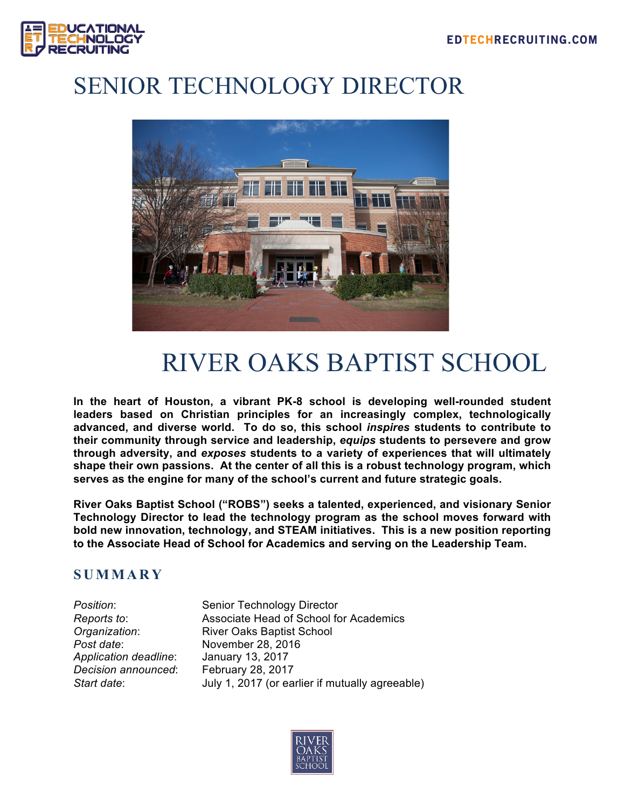

# SENIOR TECHNOLOGY DIRECTOR



# RIVER OAKS BAPTIST SCHOOL

**In the heart of Houston, a vibrant PK-8 school is developing well-rounded student leaders based on Christian principles for an increasingly complex, technologically advanced, and diverse world. To do so, this school** *inspires* **students to contribute to their community through service and leadership,** *equips* **students to persevere and grow through adversity, and** *exposes* **students to a variety of experiences that will ultimately shape their own passions. At the center of all this is a robust technology program, which serves as the engine for many of the school's current and future strategic goals.**

**River Oaks Baptist School ("ROBS") seeks a talented, experienced, and visionary Senior Technology Director to lead the technology program as the school moves forward with bold new innovation, technology, and STEAM initiatives. This is a new position reporting to the Associate Head of School for Academics and serving on the Leadership Team.**

## **SUMMARY**

*Post date*: November 28, 2016 *Application deadline*: January 13, 2017 *Decision announced*: February 28, 2017

**Position:** Senior Technology Director *Reports to*: Associate Head of School for Academics *Organization*: River Oaks Baptist School July 1, 2017 (or earlier if mutually agreeable)

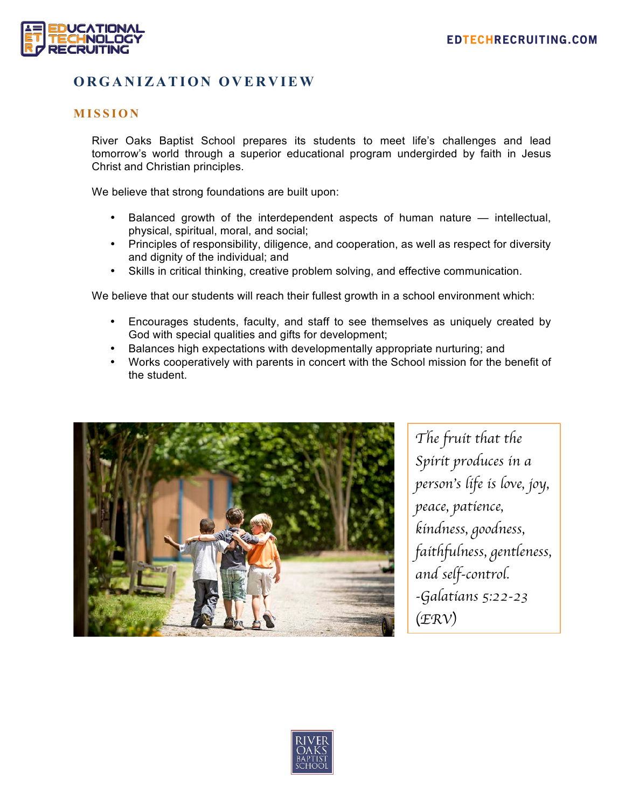

## **ORGANIZATION OVERVIEW**

#### **MISSION**

River Oaks Baptist School prepares its students to meet life's challenges and lead tomorrow's world through a superior educational program undergirded by faith in Jesus Christ and Christian principles.

We believe that strong foundations are built upon:

- Balanced growth of the interdependent aspects of human nature intellectual, physical, spiritual, moral, and social;
- Principles of responsibility, diligence, and cooperation, as well as respect for diversity and dignity of the individual; and
- Skills in critical thinking, creative problem solving, and effective communication.

We believe that our students will reach their fullest growth in a school environment which:

- Encourages students, faculty, and staff to see themselves as uniquely created by God with special qualities and gifts for development;
- Balances high expectations with developmentally appropriate nurturing; and
- Works cooperatively with parents in concert with the School mission for the benefit of the student.



*The fruit that the Spirit produces in a person*'*s life is love, joy, peace, patience, kindness, goodness, faithfulness, gentleness, and self-control. -Galatians 5:22-23*  (*ERV*)

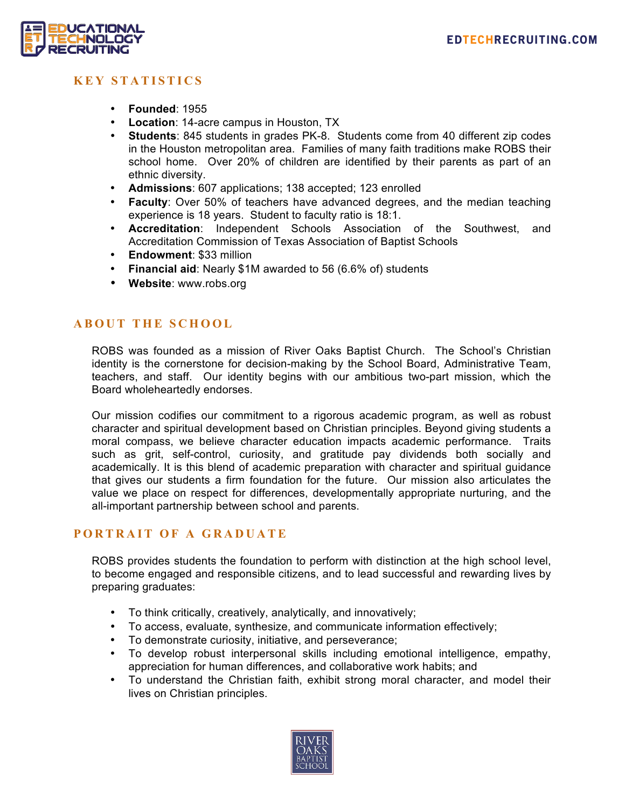

### **KEY STATISTICS**

- **Founded**: 1955
- **Location**: 14-acre campus in Houston, TX
- **Students**: 845 students in grades PK-8. Students come from 40 different zip codes in the Houston metropolitan area. Families of many faith traditions make ROBS their school home. Over 20% of children are identified by their parents as part of an ethnic diversity.
- **Admissions**: 607 applications; 138 accepted; 123 enrolled
- **Faculty**: Over 50% of teachers have advanced degrees, and the median teaching experience is 18 years. Student to faculty ratio is 18:1.
- **Accreditation**: Independent Schools Association of the Southwest, and Accreditation Commission of Texas Association of Baptist Schools
- **Endowment**: \$33 million
- **Financial aid**: Nearly \$1M awarded to 56 (6.6% of) students
- **Website**: www.robs.org

#### **ABOUT THE SCHOOL**

ROBS was founded as a mission of River Oaks Baptist Church. The School's Christian identity is the cornerstone for decision-making by the School Board, Administrative Team, teachers, and staff. Our identity begins with our ambitious two-part mission, which the Board wholeheartedly endorses.

Our mission codifies our commitment to a rigorous academic program, as well as robust character and spiritual development based on Christian principles. Beyond giving students a moral compass, we believe character education impacts academic performance. Traits such as grit, self-control, curiosity, and gratitude pay dividends both socially and academically. It is this blend of academic preparation with character and spiritual guidance that gives our students a firm foundation for the future. Our mission also articulates the value we place on respect for differences, developmentally appropriate nurturing, and the all-important partnership between school and parents.

#### **PORTRAIT OF A GRADUATE**

ROBS provides students the foundation to perform with distinction at the high school level, to become engaged and responsible citizens, and to lead successful and rewarding lives by preparing graduates:

- To think critically, creatively, analytically, and innovatively;
- To access, evaluate, synthesize, and communicate information effectively;
- To demonstrate curiosity, initiative, and perseverance;
- To develop robust interpersonal skills including emotional intelligence, empathy, appreciation for human differences, and collaborative work habits; and
- To understand the Christian faith, exhibit strong moral character, and model their lives on Christian principles.

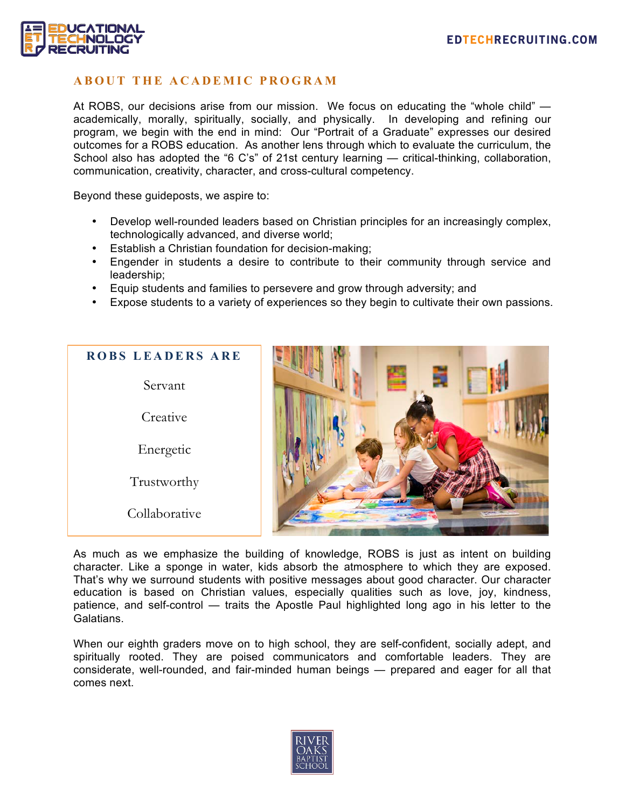

#### **ABOUT THE ACADEMIC PROGRAM**

At ROBS, our decisions arise from our mission. We focus on educating the "whole child" academically, morally, spiritually, socially, and physically. In developing and refining our program, we begin with the end in mind: Our "Portrait of a Graduate" expresses our desired outcomes for a ROBS education. As another lens through which to evaluate the curriculum, the School also has adopted the "6 C's" of 21st century learning — critical-thinking, collaboration, communication, creativity, character, and cross-cultural competency.

Beyond these guideposts, we aspire to:

- Develop well-rounded leaders based on Christian principles for an increasingly complex, technologically advanced, and diverse world;
- Establish a Christian foundation for decision-making;
- Engender in students a desire to contribute to their community through service and leadership;
- Equip students and families to persevere and grow through adversity; and
- Expose students to a variety of experiences so they begin to cultivate their own passions.



As much as we emphasize the building of knowledge, ROBS is just as intent on building character. Like a sponge in water, kids absorb the atmosphere to which they are exposed. That's why we surround students with positive messages about good character. Our character education is based on Christian values, especially qualities such as love, joy, kindness, patience, and self-control — traits the Apostle Paul highlighted long ago in his letter to the Galatians.

When our eighth graders move on to high school, they are self-confident, socially adept, and spiritually rooted. They are poised communicators and comfortable leaders. They are considerate, well-rounded, and fair-minded human beings — prepared and eager for all that comes next.

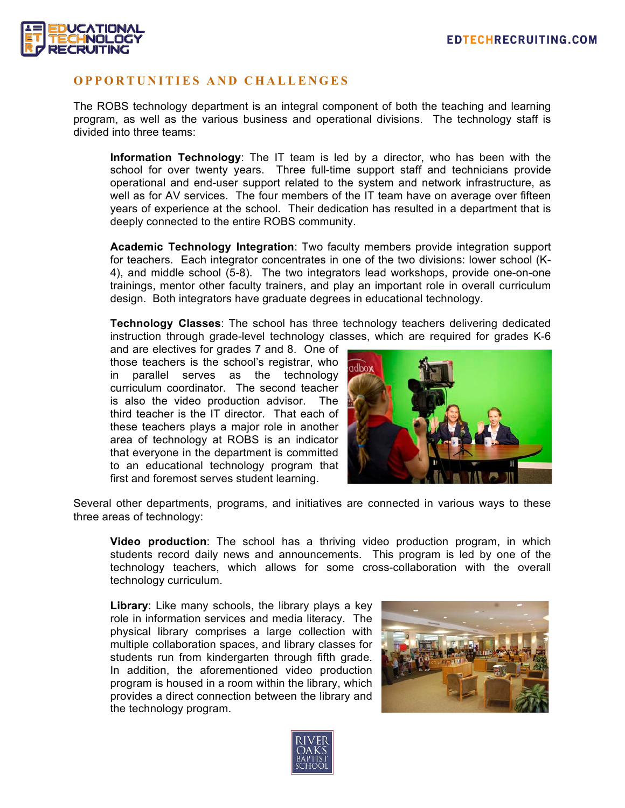

#### **OPPORTUNITIES AND CH ALLENGES**

The ROBS technology department is an integral component of both the teaching and learning program, as well as the various business and operational divisions. The technology staff is divided into three teams:

**Information Technology**: The IT team is led by a director, who has been with the school for over twenty years. Three full-time support staff and technicians provide operational and end-user support related to the system and network infrastructure, as well as for AV services. The four members of the IT team have on average over fifteen years of experience at the school. Their dedication has resulted in a department that is deeply connected to the entire ROBS community.

**Academic Technology Integration**: Two faculty members provide integration support for teachers. Each integrator concentrates in one of the two divisions: lower school (K-4), and middle school (5-8). The two integrators lead workshops, provide one-on-one trainings, mentor other faculty trainers, and play an important role in overall curriculum design. Both integrators have graduate degrees in educational technology.

**Technology Classes**: The school has three technology teachers delivering dedicated instruction through grade-level technology classes, which are required for grades K-6

and are electives for grades 7 and 8. One of those teachers is the school's registrar, who in parallel serves as the technology curriculum coordinator. The second teacher is also the video production advisor. The third teacher is the IT director. That each of these teachers plays a major role in another area of technology at ROBS is an indicator that everyone in the department is committed to an educational technology program that first and foremost serves student learning.



Several other departments, programs, and initiatives are connected in various ways to these three areas of technology:

**Video production**: The school has a thriving video production program, in which students record daily news and announcements. This program is led by one of the technology teachers, which allows for some cross-collaboration with the overall technology curriculum.

**Library**: Like many schools, the library plays a key role in information services and media literacy. The physical library comprises a large collection with multiple collaboration spaces, and library classes for students run from kindergarten through fifth grade. In addition, the aforementioned video production program is housed in a room within the library, which provides a direct connection between the library and the technology program.



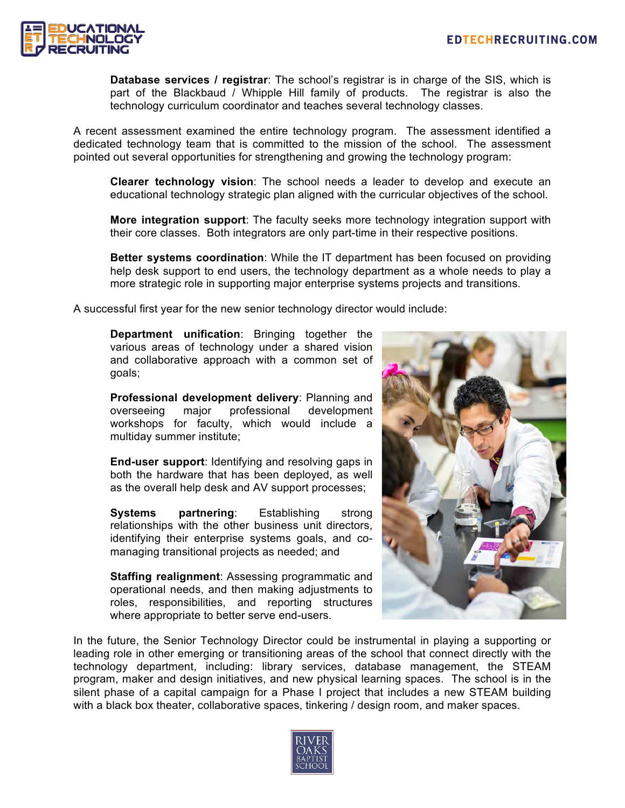

**Database services / registrar**: The school's registrar is in charge of the SIS, which is part of the Blackbaud / Whipple Hill family of products. The registrar is also the technology curriculum coordinator and teaches several technology classes.

A recent assessment examined the entire technology program. The assessment identified a dedicated technology team that is committed to the mission of the school. The assessment pointed out several opportunities for strengthening and growing the technology program:

**Clearer technology vision**: The school needs a leader to develop and execute an educational technology strategic plan aligned with the curricular objectives of the school.

**More integration support**: The faculty seeks more technology integration support with their core classes. Both integrators are only part-time in their respective positions.

**Better systems coordination**: While the IT department has been focused on providing help desk support to end users, the technology department as a whole needs to play a more strategic role in supporting major enterprise systems projects and transitions.

A successful first year for the new senior technology director would include:

**Department unification**: Bringing together the various areas of technology under a shared vision and collaborative approach with a common set of goals;

**Professional development delivery**: Planning and overseeing major professional development workshops for faculty, which would include a multiday summer institute;

**End-user support**: Identifying and resolving gaps in both the hardware that has been deployed, as well as the overall help desk and AV support processes;

**Systems partnering**: Establishing strong relationships with the other business unit directors, identifying their enterprise systems goals, and comanaging transitional projects as needed; and

**Staffing realignment**: Assessing programmatic and operational needs, and then making adjustments to roles, responsibilities, and reporting structures where appropriate to better serve end-users.



In the future, the Senior Technology Director could be instrumental in playing a supporting or leading role in other emerging or transitioning areas of the school that connect directly with the technology department, including: library services, database management, the STEAM program, maker and design initiatives, and new physical learning spaces. The school is in the silent phase of a capital campaign for a Phase I project that includes a new STEAM building with a black box theater, collaborative spaces, tinkering / design room, and maker spaces.

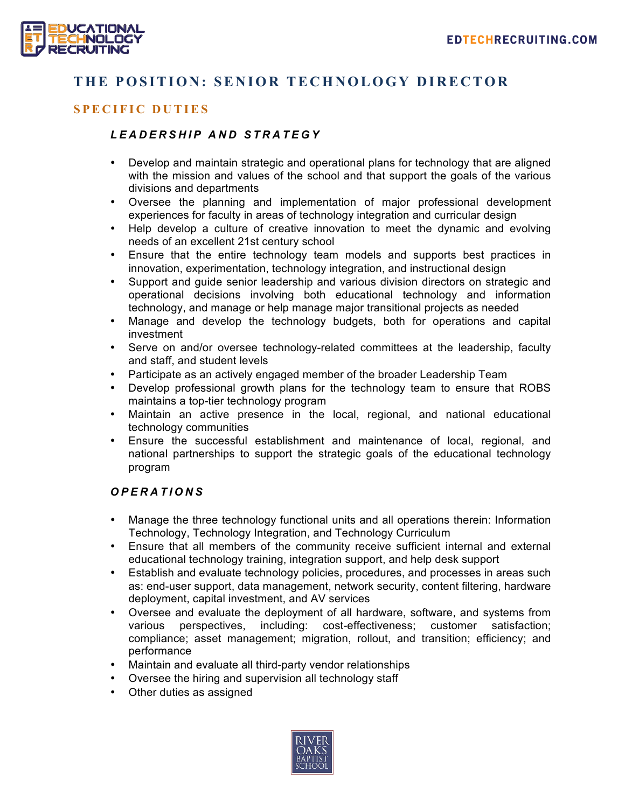

## **THE POSITION: SENIOR TECHNOLOGY DIRECTOR**

### **SPECIFIC DUTIES**

#### *LEADERSHIP AND STRAT EGY*

- Develop and maintain strategic and operational plans for technology that are aligned with the mission and values of the school and that support the goals of the various divisions and departments
- Oversee the planning and implementation of major professional development experiences for faculty in areas of technology integration and curricular design
- Help develop a culture of creative innovation to meet the dynamic and evolving needs of an excellent 21st century school
- Ensure that the entire technology team models and supports best practices in innovation, experimentation, technology integration, and instructional design
- Support and guide senior leadership and various division directors on strategic and operational decisions involving both educational technology and information technology, and manage or help manage major transitional projects as needed
- Manage and develop the technology budgets, both for operations and capital investment
- Serve on and/or oversee technology-related committees at the leadership, faculty and staff, and student levels
- Participate as an actively engaged member of the broader Leadership Team
- Develop professional growth plans for the technology team to ensure that ROBS maintains a top-tier technology program
- Maintain an active presence in the local, regional, and national educational technology communities
- Ensure the successful establishment and maintenance of local, regional, and national partnerships to support the strategic goals of the educational technology program

#### *OPERATIONS*

- Manage the three technology functional units and all operations therein: Information Technology, Technology Integration, and Technology Curriculum
- Ensure that all members of the community receive sufficient internal and external educational technology training, integration support, and help desk support
- Establish and evaluate technology policies, procedures, and processes in areas such as: end-user support, data management, network security, content filtering, hardware deployment, capital investment, and AV services
- Oversee and evaluate the deployment of all hardware, software, and systems from various perspectives, including: cost-effectiveness; customer satisfaction; compliance; asset management; migration, rollout, and transition; efficiency; and performance
- Maintain and evaluate all third-party vendor relationships
- Oversee the hiring and supervision all technology staff
- Other duties as assigned

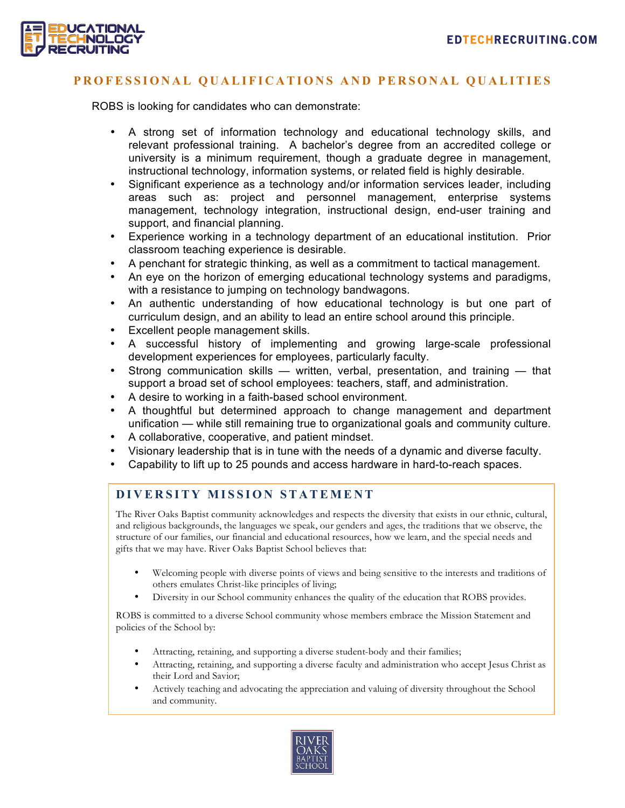

#### **PROFESSIONAL Q UALIFICATIONS AND P ERSONAL Q UALITIES**

ROBS is looking for candidates who can demonstrate:

- A strong set of information technology and educational technology skills, and relevant professional training. A bachelor's degree from an accredited college or university is a minimum requirement, though a graduate degree in management, instructional technology, information systems, or related field is highly desirable.
- Significant experience as a technology and/or information services leader, including areas such as: project and personnel management, enterprise systems management, technology integration, instructional design, end-user training and support, and financial planning.
- Experience working in a technology department of an educational institution. Prior classroom teaching experience is desirable.
- A penchant for strategic thinking, as well as a commitment to tactical management.
- An eye on the horizon of emerging educational technology systems and paradigms, with a resistance to jumping on technology bandwagons.
- An authentic understanding of how educational technology is but one part of curriculum design, and an ability to lead an entire school around this principle.
- Excellent people management skills.
- A successful history of implementing and growing large-scale professional development experiences for employees, particularly faculty.
- Strong communication skills written, verbal, presentation, and training that support a broad set of school employees: teachers, staff, and administration.
- A desire to working in a faith-based school environment.
- A thoughtful but determined approach to change management and department unification — while still remaining true to organizational goals and community culture.
- A collaborative, cooperative, and patient mindset.
- Visionary leadership that is in tune with the needs of a dynamic and diverse faculty.
- Capability to lift up to 25 pounds and access hardware in hard-to-reach spaces.

#### **DIVERSITY MISSION STATEMENT**

The River Oaks Baptist community acknowledges and respects the diversity that exists in our ethnic, cultural, and religious backgrounds, the languages we speak, our genders and ages, the traditions that we observe, the structure of our families, our financial and educational resources, how we learn, and the special needs and gifts that we may have. River Oaks Baptist School believes that:

- Welcoming people with diverse points of views and being sensitive to the interests and traditions of others emulates Christ-like principles of living;
- Diversity in our School community enhances the quality of the education that ROBS provides.

ROBS is committed to a diverse School community whose members embrace the Mission Statement and policies of the School by:

- Attracting, retaining, and supporting a diverse student-body and their families;
- Attracting, retaining, and supporting a diverse faculty and administration who accept Jesus Christ as their Lord and Savior;
- Actively teaching and advocating the appreciation and valuing of diversity throughout the School and community.